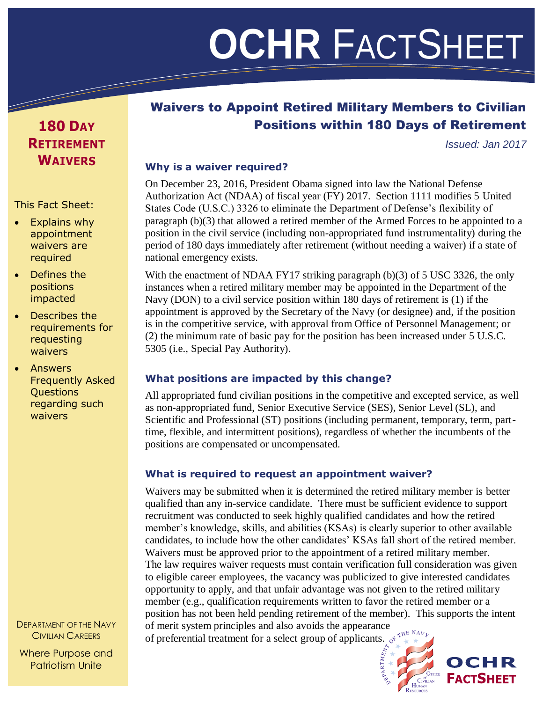# **THE OCHR** FACTSHEET

## Waivers to Appoint Retired Military Members to Civilian Positions within 180 Days of Retirement

*Issued: Jan 2017*

#### **Why is a waiver required?**

On December 23, 2016, President Obama signed into law the National Defense Authorization Act (NDAA) of fiscal year (FY) 2017. Section 1111 modifies 5 United States Code (U.S.C.) 3326 to eliminate the Department of Defense's flexibility of paragraph (b)(3) that allowed a retired member of the Armed Forces to be appointed to a position in the civil service (including non-appropriated fund instrumentality) during the period of 180 days immediately after retirement (without needing a waiver) if a state of national emergency exists.

With the enactment of NDAA FY17 striking paragraph  $(b)(3)$  of 5 USC 3326, the only instances when a retired military member may be appointed in the Department of the Navy (DON) to a civil service position within 180 days of retirement is (1) if the appointment is approved by the Secretary of the Navy (or designee) and, if the position is in the competitive service, with approval from Office of Personnel Management; or (2) the minimum rate of basic pay for the position has been increased under 5 U.S.C. 5305 (i.e., Special Pay Authority).

#### **What positions are impacted by this change?**

All appropriated fund civilian positions in the competitive and excepted service, as well as non-appropriated fund, Senior Executive Service (SES), Senior Level (SL), and Scientific and Professional (ST) positions (including permanent, temporary, term, parttime, flexible, and intermittent positions), regardless of whether the incumbents of the positions are compensated or uncompensated.

#### **What is required to request an appointment waiver?**

Waivers may be submitted when it is determined the retired military member is better qualified than any in-service candidate. There must be sufficient evidence to support recruitment was conducted to seek highly qualified candidates and how the retired member's knowledge, skills, and abilities (KSAs) is clearly superior to other available candidates, to include how the other candidates' KSAs fall short of the retired member. Waivers must be approved prior to the appointment of a retired military member. The law requires waiver requests must contain verification full consideration was given to eligible career employees, the vacancy was publicized to give interested candidates opportunity to apply, and that unfair advantage was not given to the retired military member (e.g., qualification requirements written to favor the retired member or a position has not been held pending retirement of the member). This supports the intent of merit system principles and also avoids the appearance

of preferential treatment for a select group of applicants.  $e^{i \pi \frac{W E}{k}}$ 



# **FACTSHEET**

## **180 DAY RETIREMENT WAIVERS**

#### This Fact Sheet:

- Explains why appointment waivers are required
- Defines the positions impacted
- Describes the requirements for requesting waivers
- Answers Frequently Asked **Questions** regarding such waivers

DEPARTMENT OF THE NAVY CIVILIAN CAREERS

Where Purpose and Patriotism Unite